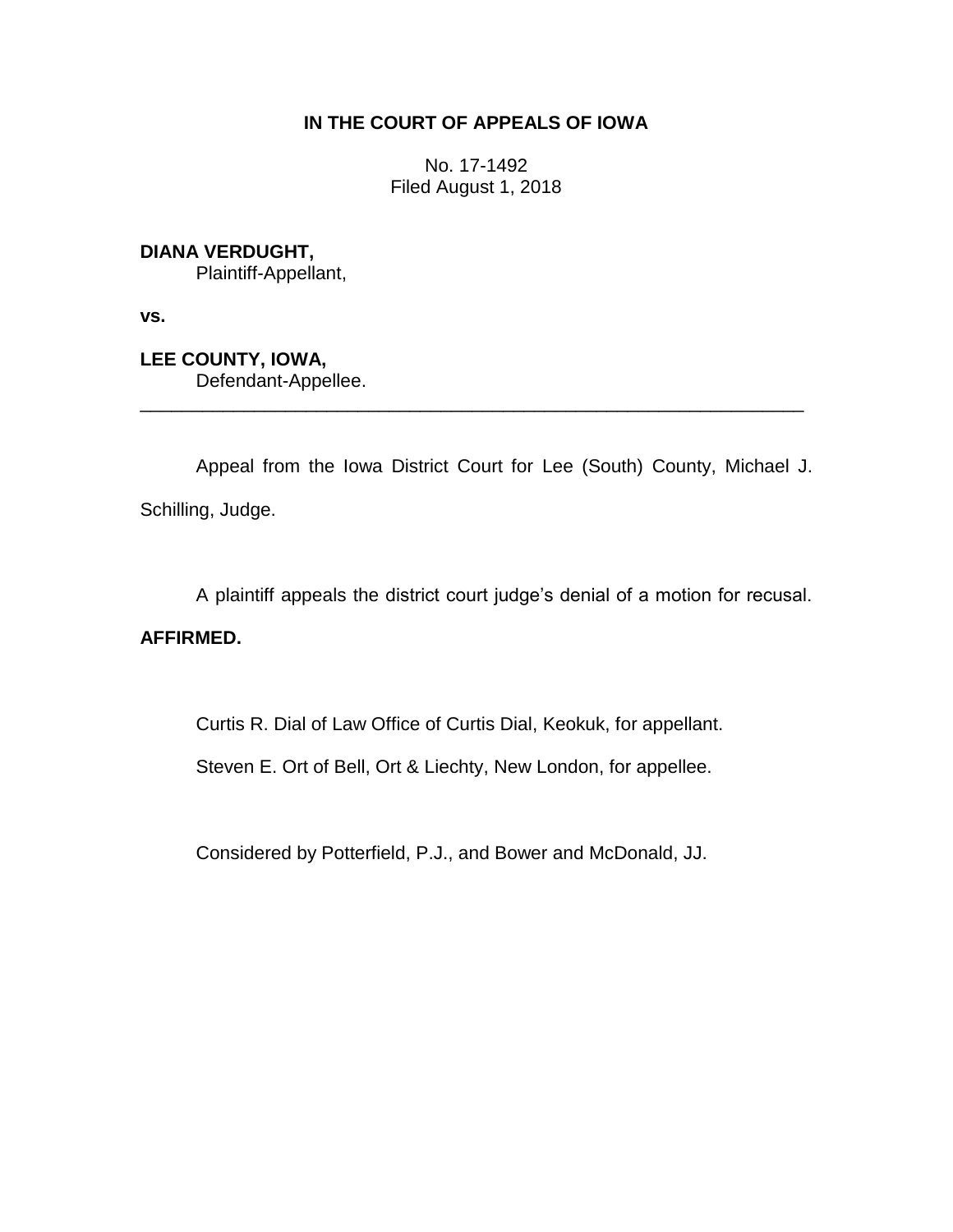## **IN THE COURT OF APPEALS OF IOWA**

No. 17-1492 Filed August 1, 2018

## **DIANA VERDUGHT,**

Plaintiff-Appellant,

**vs.**

**LEE COUNTY, IOWA,** Defendant-Appellee.

Appeal from the Iowa District Court for Lee (South) County, Michael J. Schilling, Judge.

\_\_\_\_\_\_\_\_\_\_\_\_\_\_\_\_\_\_\_\_\_\_\_\_\_\_\_\_\_\_\_\_\_\_\_\_\_\_\_\_\_\_\_\_\_\_\_\_\_\_\_\_\_\_\_\_\_\_\_\_\_\_\_\_

A plaintiff appeals the district court judge's denial of a motion for recusal.

## **AFFIRMED.**

Curtis R. Dial of Law Office of Curtis Dial, Keokuk, for appellant.

Steven E. Ort of Bell, Ort & Liechty, New London, for appellee.

Considered by Potterfield, P.J., and Bower and McDonald, JJ.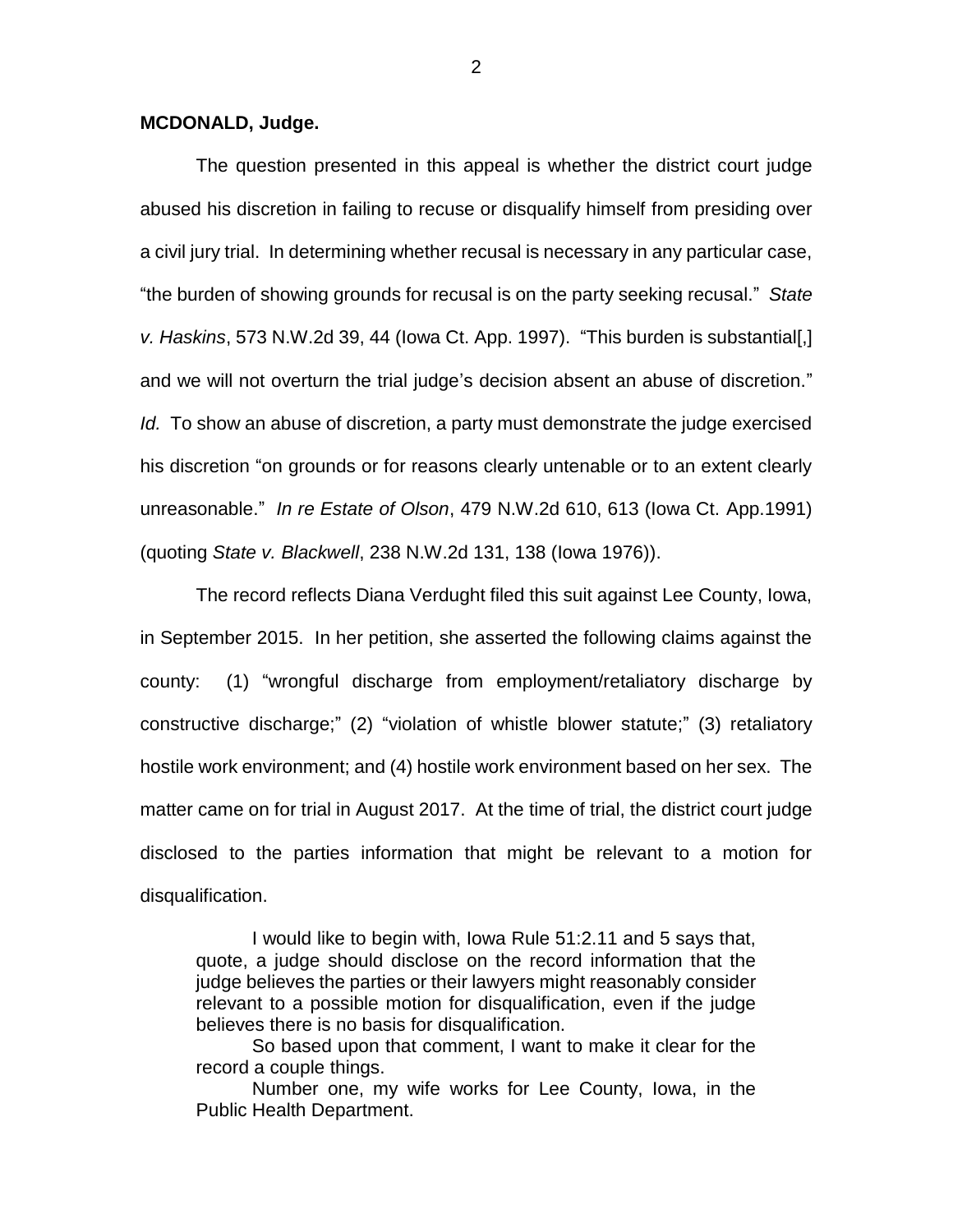## **MCDONALD, Judge.**

The question presented in this appeal is whether the district court judge abused his discretion in failing to recuse or disqualify himself from presiding over a civil jury trial. In determining whether recusal is necessary in any particular case, "the burden of showing grounds for recusal is on the party seeking recusal." *State v. Haskins*, 573 N.W.2d 39, 44 (Iowa Ct. App. 1997). "This burden is substantial[,] and we will not overturn the trial judge's decision absent an abuse of discretion." *Id.* To show an abuse of discretion, a party must demonstrate the judge exercised his discretion "on grounds or for reasons clearly untenable or to an extent clearly unreasonable." *In re Estate of Olson*, 479 N.W.2d 610, 613 (Iowa Ct. App.1991) (quoting *State v. Blackwell*, 238 N.W.2d 131, 138 (Iowa 1976)).

The record reflects Diana Verdught filed this suit against Lee County, Iowa, in September 2015. In her petition, she asserted the following claims against the county: (1) "wrongful discharge from employment/retaliatory discharge by constructive discharge;" (2) "violation of whistle blower statute;" (3) retaliatory hostile work environment; and (4) hostile work environment based on her sex. The matter came on for trial in August 2017. At the time of trial, the district court judge disclosed to the parties information that might be relevant to a motion for disqualification.

I would like to begin with, Iowa Rule 51:2.11 and 5 says that, quote, a judge should disclose on the record information that the judge believes the parties or their lawyers might reasonably consider relevant to a possible motion for disqualification, even if the judge believes there is no basis for disqualification.

So based upon that comment, I want to make it clear for the record a couple things.

Number one, my wife works for Lee County, Iowa, in the Public Health Department.

2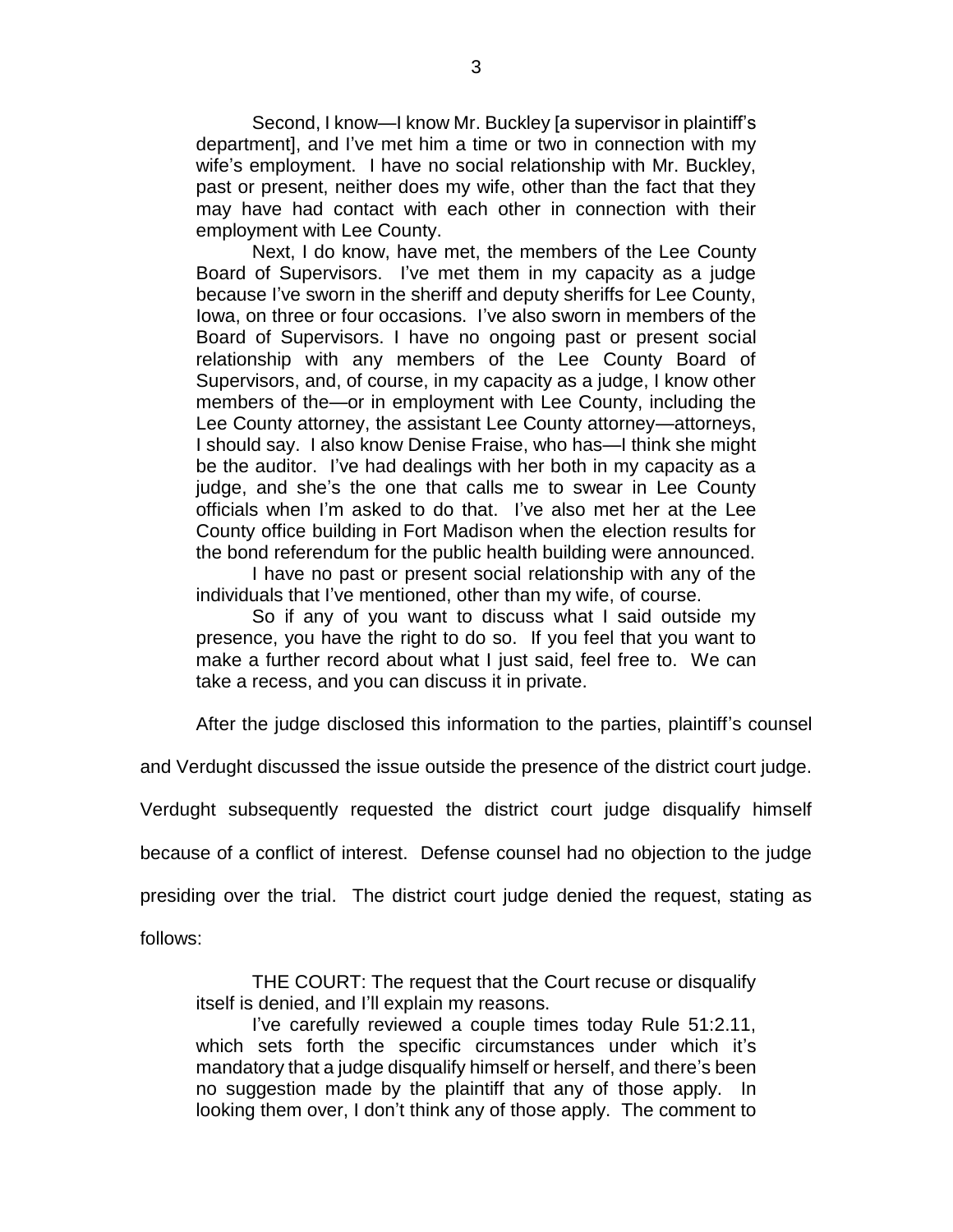Second, I know—I know Mr. Buckley [a supervisor in plaintiff's department], and I've met him a time or two in connection with my wife's employment. I have no social relationship with Mr. Buckley, past or present, neither does my wife, other than the fact that they may have had contact with each other in connection with their employment with Lee County.

Next, I do know, have met, the members of the Lee County Board of Supervisors. I've met them in my capacity as a judge because I've sworn in the sheriff and deputy sheriffs for Lee County, Iowa, on three or four occasions. I've also sworn in members of the Board of Supervisors. I have no ongoing past or present social relationship with any members of the Lee County Board of Supervisors, and, of course, in my capacity as a judge, I know other members of the—or in employment with Lee County, including the Lee County attorney, the assistant Lee County attorney—attorneys, I should say. I also know Denise Fraise, who has—I think she might be the auditor. I've had dealings with her both in my capacity as a judge, and she's the one that calls me to swear in Lee County officials when I'm asked to do that. I've also met her at the Lee County office building in Fort Madison when the election results for the bond referendum for the public health building were announced.

I have no past or present social relationship with any of the individuals that I've mentioned, other than my wife, of course.

So if any of you want to discuss what I said outside my presence, you have the right to do so. If you feel that you want to make a further record about what I just said, feel free to. We can take a recess, and you can discuss it in private.

After the judge disclosed this information to the parties, plaintiff's counsel

and Verdught discussed the issue outside the presence of the district court judge.

Verdught subsequently requested the district court judge disqualify himself

because of a conflict of interest. Defense counsel had no objection to the judge

presiding over the trial. The district court judge denied the request, stating as

follows:

THE COURT: The request that the Court recuse or disqualify itself is denied, and I'll explain my reasons.

I've carefully reviewed a couple times today Rule 51:2.11, which sets forth the specific circumstances under which it's mandatory that a judge disqualify himself or herself, and there's been no suggestion made by the plaintiff that any of those apply. In looking them over, I don't think any of those apply. The comment to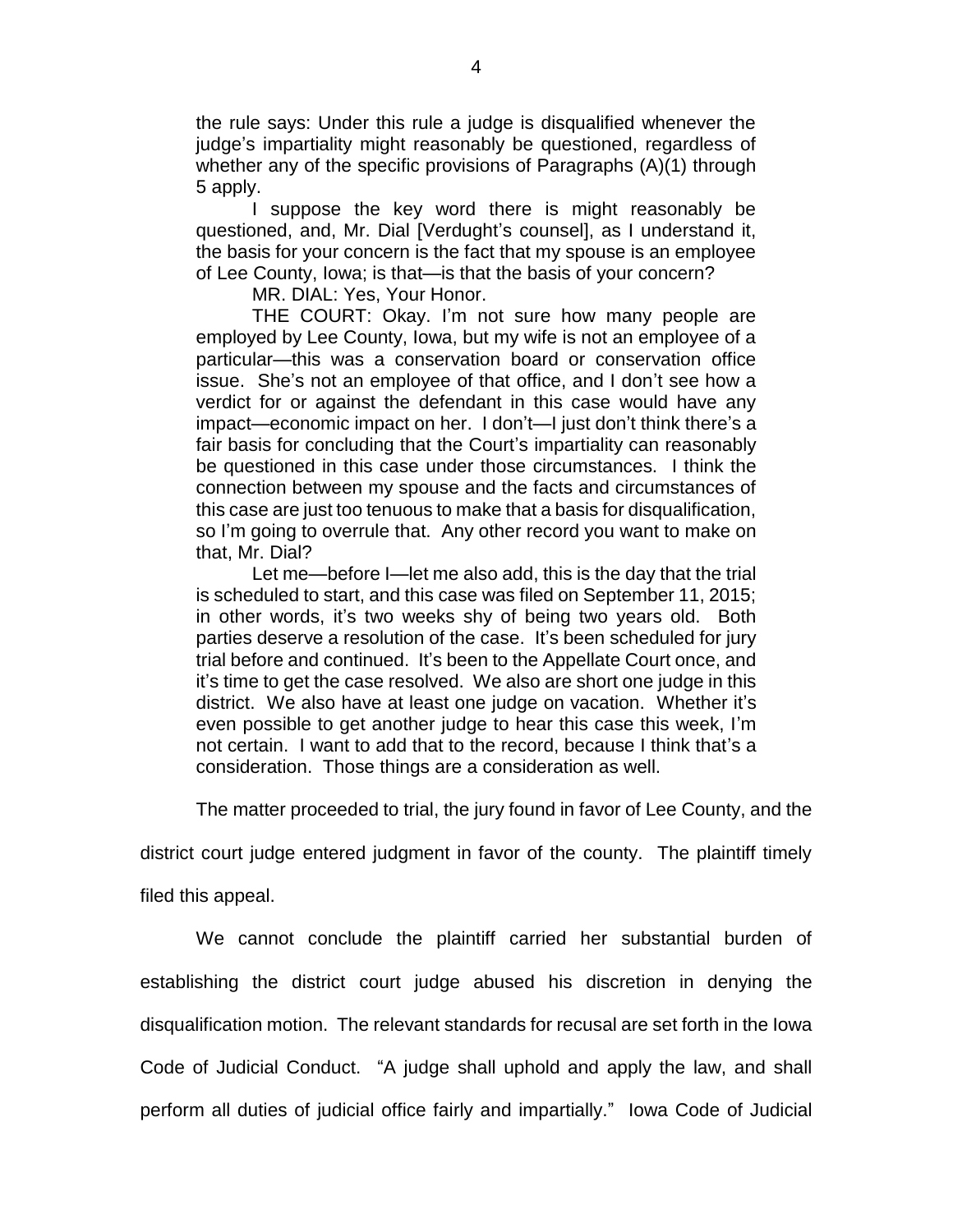the rule says: Under this rule a judge is disqualified whenever the judge's impartiality might reasonably be questioned, regardless of whether any of the specific provisions of Paragraphs (A)(1) through 5 apply.

I suppose the key word there is might reasonably be questioned, and, Mr. Dial [Verdught's counsel], as I understand it, the basis for your concern is the fact that my spouse is an employee of Lee County, Iowa; is that—is that the basis of your concern?

MR. DIAL: Yes, Your Honor.

THE COURT: Okay. I'm not sure how many people are employed by Lee County, Iowa, but my wife is not an employee of a particular—this was a conservation board or conservation office issue. She's not an employee of that office, and I don't see how a verdict for or against the defendant in this case would have any impact—economic impact on her. I don't—I just don't think there's a fair basis for concluding that the Court's impartiality can reasonably be questioned in this case under those circumstances. I think the connection between my spouse and the facts and circumstances of this case are just too tenuous to make that a basis for disqualification, so I'm going to overrule that. Any other record you want to make on that, Mr. Dial?

Let me—before I—let me also add, this is the day that the trial is scheduled to start, and this case was filed on September 11, 2015; in other words, it's two weeks shy of being two years old. Both parties deserve a resolution of the case. It's been scheduled for jury trial before and continued. It's been to the Appellate Court once, and it's time to get the case resolved. We also are short one judge in this district. We also have at least one judge on vacation. Whether it's even possible to get another judge to hear this case this week, I'm not certain. I want to add that to the record, because I think that's a consideration. Those things are a consideration as well.

The matter proceeded to trial, the jury found in favor of Lee County, and the

district court judge entered judgment in favor of the county. The plaintiff timely

filed this appeal.

We cannot conclude the plaintiff carried her substantial burden of establishing the district court judge abused his discretion in denying the disqualification motion. The relevant standards for recusal are set forth in the Iowa Code of Judicial Conduct. "A judge shall uphold and apply the law, and shall perform all duties of judicial office fairly and impartially." Iowa Code of Judicial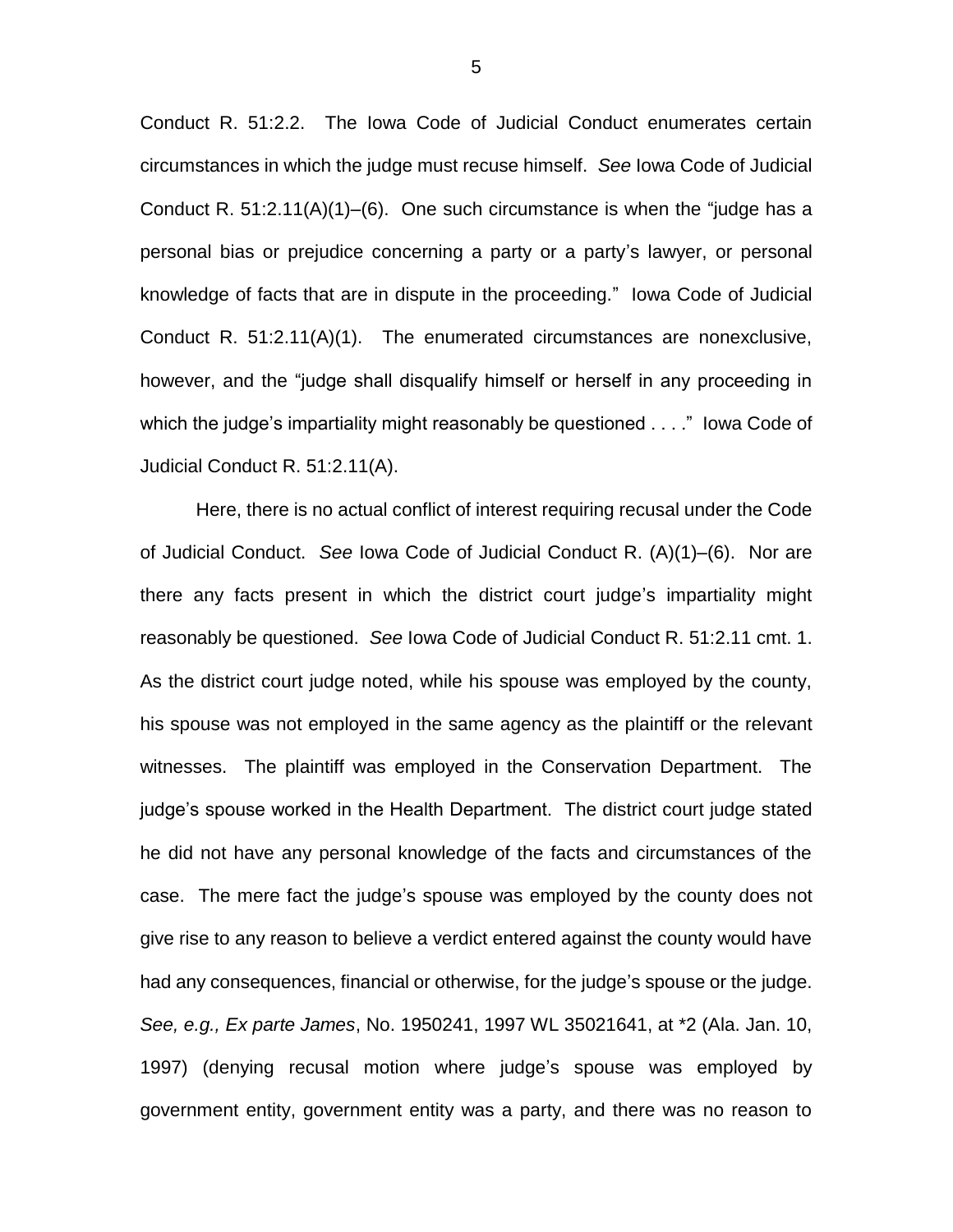Conduct R. 51:2.2. The Iowa Code of Judicial Conduct enumerates certain circumstances in which the judge must recuse himself. *See* Iowa Code of Judicial Conduct R. 51:2.11(A)(1)–(6). One such circumstance is when the "judge has a personal bias or prejudice concerning a party or a party's lawyer, or personal knowledge of facts that are in dispute in the proceeding." Iowa Code of Judicial Conduct R. 51:2.11(A)(1). The enumerated circumstances are nonexclusive, however, and the "judge shall disqualify himself or herself in any proceeding in which the judge's impartiality might reasonably be questioned . . . ." Iowa Code of Judicial Conduct R. 51:2.11(A).

Here, there is no actual conflict of interest requiring recusal under the Code of Judicial Conduct. *See* Iowa Code of Judicial Conduct R. (A)(1)–(6). Nor are there any facts present in which the district court judge's impartiality might reasonably be questioned. *See* Iowa Code of Judicial Conduct R. 51:2.11 cmt. 1. As the district court judge noted, while his spouse was employed by the county, his spouse was not employed in the same agency as the plaintiff or the relevant witnesses. The plaintiff was employed in the Conservation Department. The judge's spouse worked in the Health Department. The district court judge stated he did not have any personal knowledge of the facts and circumstances of the case. The mere fact the judge's spouse was employed by the county does not give rise to any reason to believe a verdict entered against the county would have had any consequences, financial or otherwise, for the judge's spouse or the judge. *See, e.g., Ex parte James*, No. 1950241, 1997 WL 35021641, at \*2 (Ala. Jan. 10, 1997) (denying recusal motion where judge's spouse was employed by government entity, government entity was a party, and there was no reason to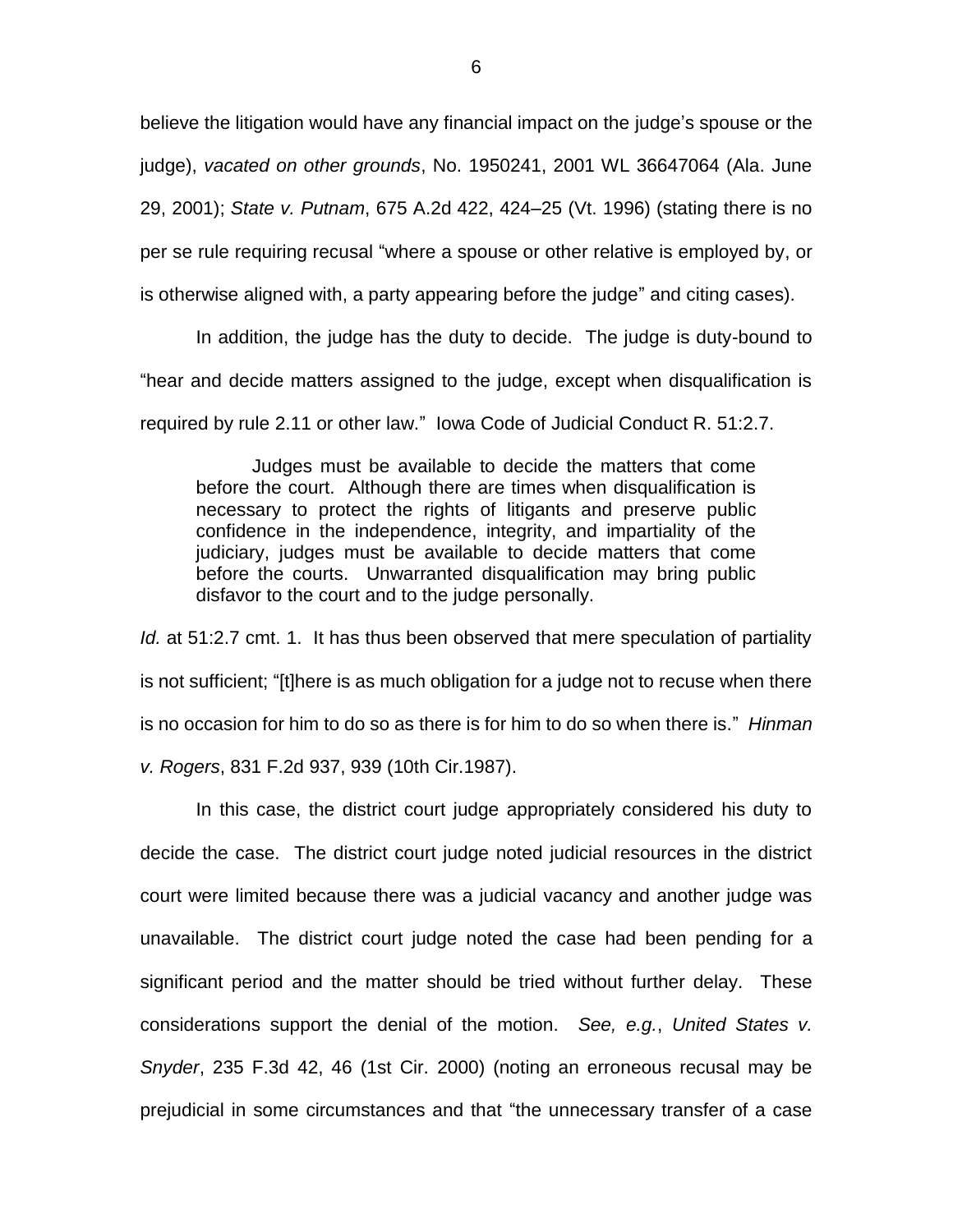believe the litigation would have any financial impact on the judge's spouse or the judge), *vacated on other grounds*, No. 1950241, 2001 WL 36647064 (Ala. June 29, 2001); *State v. Putnam*, 675 A.2d 422, 424–25 (Vt. 1996) (stating there is no per se rule requiring recusal "where a spouse or other relative is employed by, or is otherwise aligned with, a party appearing before the judge" and citing cases).

In addition, the judge has the duty to decide. The judge is duty-bound to "hear and decide matters assigned to the judge, except when disqualification is required by rule 2.11 or other law." Iowa Code of Judicial Conduct R. 51:2.7.

Judges must be available to decide the matters that come before the court. Although there are times when disqualification is necessary to protect the rights of litigants and preserve public confidence in the independence, integrity, and impartiality of the judiciary, judges must be available to decide matters that come before the courts. Unwarranted disqualification may bring public disfavor to the court and to the judge personally.

*Id.* at 51:2.7 cmt. 1. It has thus been observed that mere speculation of partiality is not sufficient; "[t]here is as much obligation for a judge not to recuse when there is no occasion for him to do so as there is for him to do so when there is." *Hinman v. Rogers*, 831 F.2d 937, 939 (10th Cir.1987).

In this case, the district court judge appropriately considered his duty to decide the case. The district court judge noted judicial resources in the district court were limited because there was a judicial vacancy and another judge was unavailable. The district court judge noted the case had been pending for a significant period and the matter should be tried without further delay. These considerations support the denial of the motion. *See, e.g.*, *United States v. Snyder*, 235 F.3d 42, 46 (1st Cir. 2000) (noting an erroneous recusal may be prejudicial in some circumstances and that "the unnecessary transfer of a case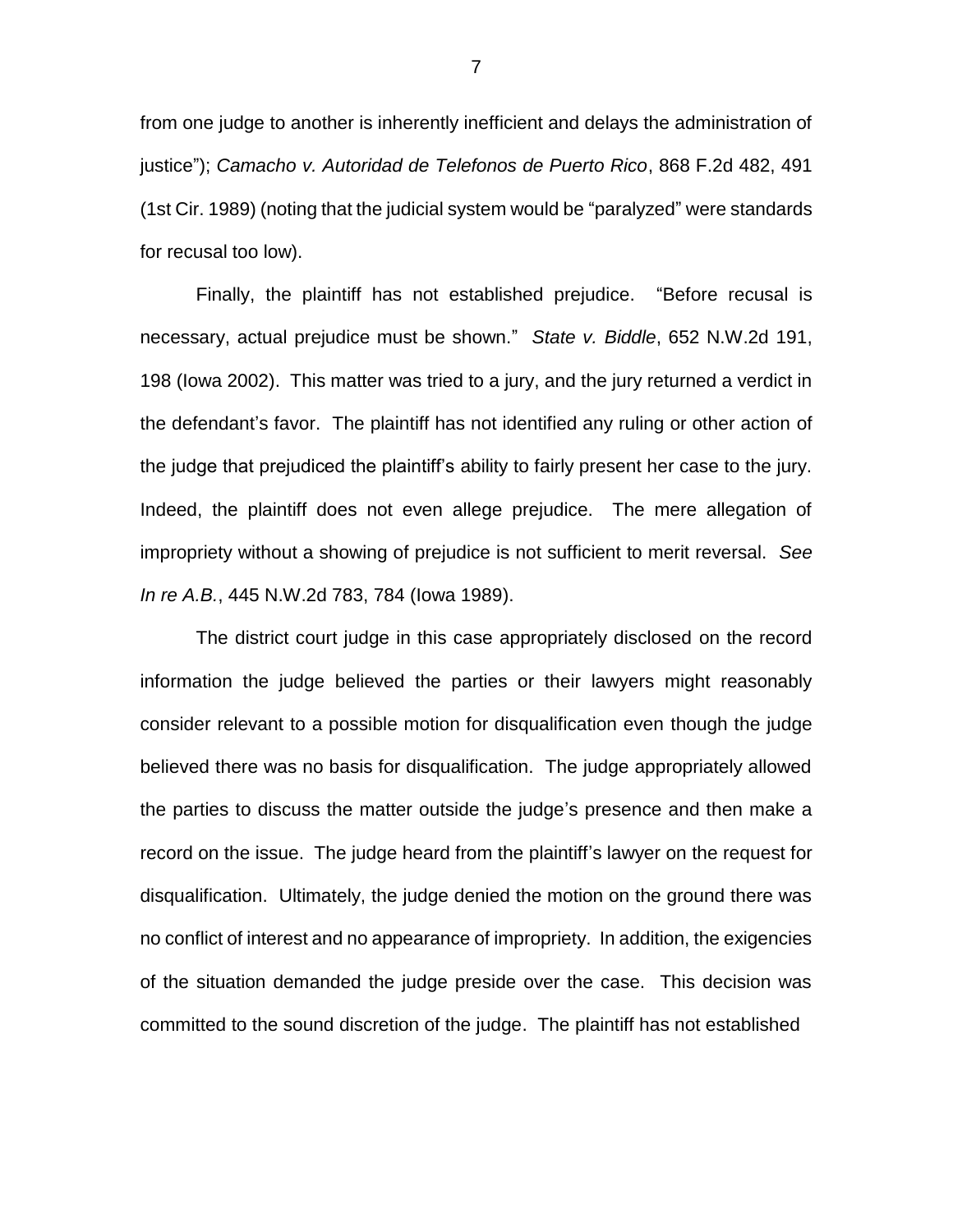from one judge to another is inherently inefficient and delays the administration of justice"); *Camacho v. Autoridad de Telefonos de Puerto Rico*, 868 F.2d 482, 491 (1st Cir. 1989) (noting that the judicial system would be "paralyzed" were standards for recusal too low).

Finally, the plaintiff has not established prejudice. "Before recusal is necessary, actual prejudice must be shown." *State v. Biddle*, 652 N.W.2d 191, 198 (Iowa 2002). This matter was tried to a jury, and the jury returned a verdict in the defendant's favor. The plaintiff has not identified any ruling or other action of the judge that prejudiced the plaintiff's ability to fairly present her case to the jury. Indeed, the plaintiff does not even allege prejudice. The mere allegation of impropriety without a showing of prejudice is not sufficient to merit reversal. *See In re A.B.*, 445 N.W.2d 783, 784 (Iowa 1989).

The district court judge in this case appropriately disclosed on the record information the judge believed the parties or their lawyers might reasonably consider relevant to a possible motion for disqualification even though the judge believed there was no basis for disqualification. The judge appropriately allowed the parties to discuss the matter outside the judge's presence and then make a record on the issue. The judge heard from the plaintiff's lawyer on the request for disqualification. Ultimately, the judge denied the motion on the ground there was no conflict of interest and no appearance of impropriety. In addition, the exigencies of the situation demanded the judge preside over the case. This decision was committed to the sound discretion of the judge. The plaintiff has not established

7